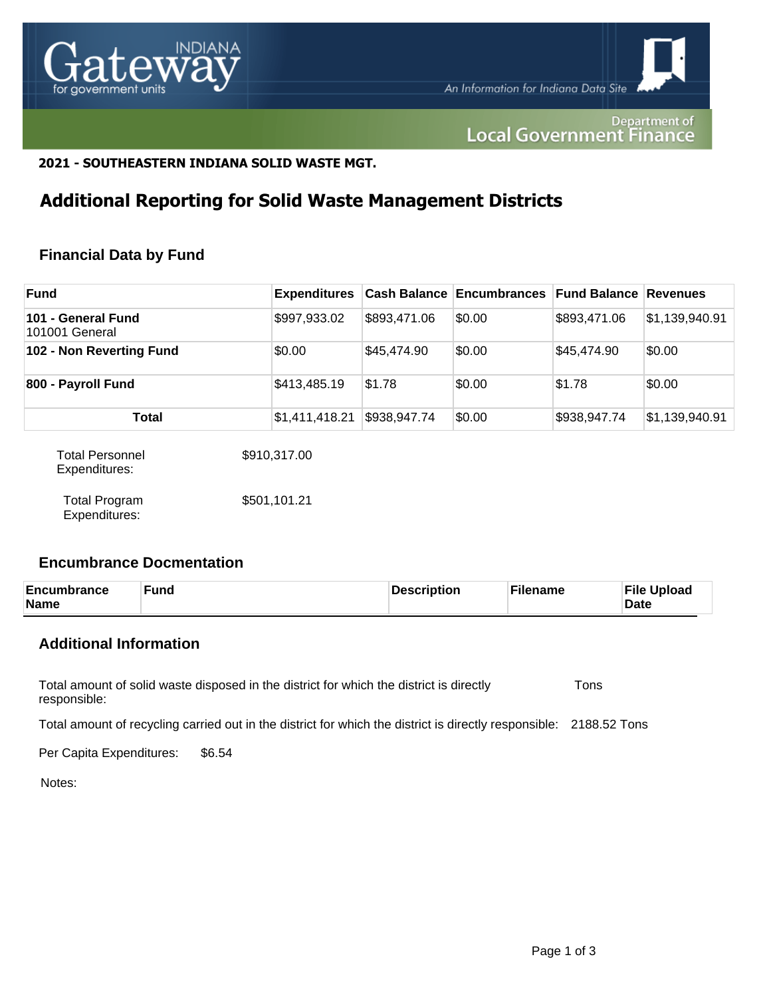

Department of **Local Government Finance** 

# **2021 - SOUTHEASTERN INDIANA SOLID WASTE MGT.**

# **Additional Reporting for Solid Waste Management Districts**

# **Financial Data by Fund**

| <b>Fund</b>                             | <b>Expenditures</b> |              | <b>Cash Balance Encumbrances</b> | <b>Fund Balance Revenues</b> |                |
|-----------------------------------------|---------------------|--------------|----------------------------------|------------------------------|----------------|
| 101 - General Fund<br>101001 General    | \$997,933.02        | \$893,471.06 | \$0.00                           | \$893,471.06                 | \$1,139,940.91 |
| 102 - Non Reverting Fund                | \$0.00              | \$45,474.90  | \$0.00                           | \$45,474.90                  | \$0.00         |
| 800 - Payroll Fund                      | \$413,485.19        | \$1.78       | \$0.00                           | \$1.78                       | \$0.00         |
| <b>Total</b>                            | \$1,411,418.21      | \$938,947.74 | \$0.00                           | \$938,947.74                 | \$1,139,940.91 |
| <b>Total Personnel</b><br>Expenditures: | \$910,317.00        |              |                                  |                              |                |

Total Program Expenditures: \$501,101.21

# **Encumbrance Docmentation**

| Encumbrance<br>Name | <b>Fund</b> | Description | Filename | <b>File Upload</b><br><b>Date</b> |
|---------------------|-------------|-------------|----------|-----------------------------------|
|---------------------|-------------|-------------|----------|-----------------------------------|

# **Additional Information**

Total amount of solid waste disposed in the district for which the district is directly responsible: Tons

Total amount of recycling carried out in the district for which the district is directly responsible: 2188.52 Tons

Per Capita Expenditures: \$6.54

Notes: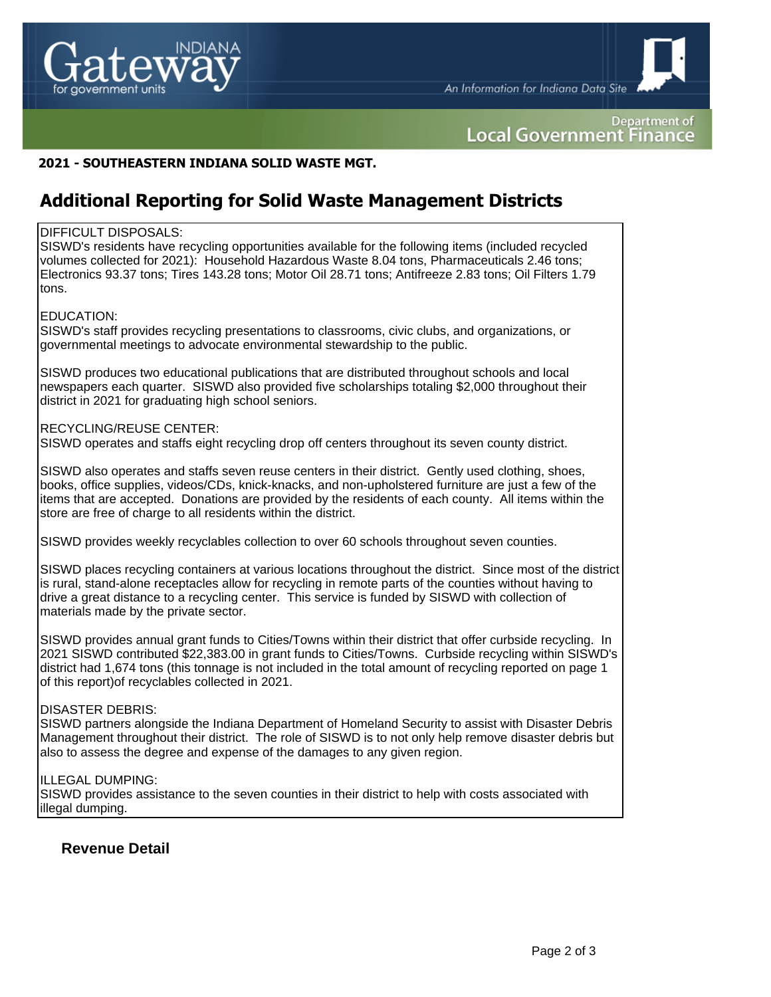

An Information for Indiana Data Site

Department of **Local Government Finance** 

## **2021 - SOUTHEASTERN INDIANA SOLID WASTE MGT.**

# **Additional Reporting for Solid Waste Management Districts**

#### DIFFICULT DISPOSALS:

SISWD's residents have recycling opportunities available for the following items (included recycled volumes collected for 2021): Household Hazardous Waste 8.04 tons, Pharmaceuticals 2.46 tons; Electronics 93.37 tons; Tires 143.28 tons; Motor Oil 28.71 tons; Antifreeze 2.83 tons; Oil Filters 1.79 tons.

#### EDUCATION:

SISWD's staff provides recycling presentations to classrooms, civic clubs, and organizations, or governmental meetings to advocate environmental stewardship to the public.

SISWD produces two educational publications that are distributed throughout schools and local newspapers each quarter. SISWD also provided five scholarships totaling \$2,000 throughout their district in 2021 for graduating high school seniors.

#### RECYCLING/REUSE CENTER:

SISWD operates and staffs eight recycling drop off centers throughout its seven county district.

SISWD also operates and staffs seven reuse centers in their district. Gently used clothing, shoes, books, office supplies, videos/CDs, knick-knacks, and non-upholstered furniture are just a few of the items that are accepted. Donations are provided by the residents of each county. All items within the store are free of charge to all residents within the district.

SISWD provides weekly recyclables collection to over 60 schools throughout seven counties.

SISWD places recycling containers at various locations throughout the district. Since most of the district is rural, stand-alone receptacles allow for recycling in remote parts of the counties without having to drive a great distance to a recycling center. This service is funded by SISWD with collection of materials made by the private sector.

SISWD provides annual grant funds to Cities/Towns within their district that offer curbside recycling. In 2021 SISWD contributed \$22,383.00 in grant funds to Cities/Towns. Curbside recycling within SISWD's district had 1,674 tons (this tonnage is not included in the total amount of recycling reported on page 1 of this report)of recyclables collected in 2021.

#### DISASTER DEBRIS:

SISWD partners alongside the Indiana Department of Homeland Security to assist with Disaster Debris Management throughout their district. The role of SISWD is to not only help remove disaster debris but also to assess the degree and expense of the damages to any given region.

#### ILLEGAL DUMPING:

SISWD provides assistance to the seven counties in their district to help with costs associated with illegal dumping.

### **Revenue Detail**